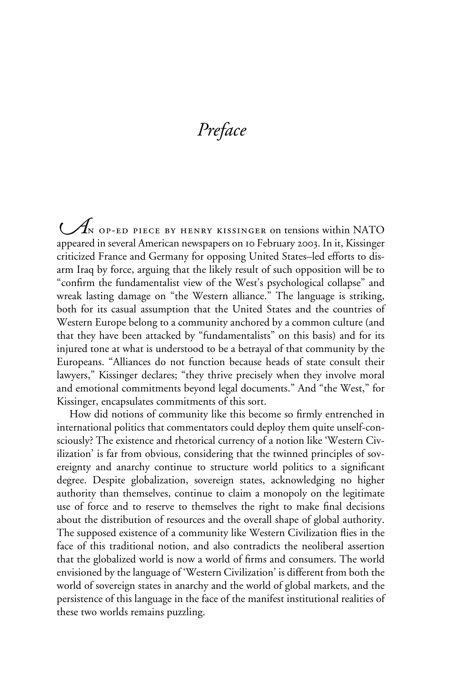# *Preface*

 $\mathcal{A}_N$  op-ed piece by henry kissinger on tensions within NATO appeared in several American newspapers on 10 February 2003. In it, Kissinger criticized France and Germany for opposing United States–led efforts to disarm Iraq by force, arguing that the likely result of such opposition will be to "confirm the fundamentalist view of the West's psychological collapse" and wreak lasting damage on "the Western alliance." The language is striking, both for its casual assumption that the United States and the countries of Western Europe belong to a community anchored by a common culture (and that they have been attacked by "fundamentalists" on this basis) and for its injured tone at what is understood to be a betrayal of that community by the Europeans. "Alliances do not function because heads of state consult their lawyers," Kissinger declares; "they thrive precisely when they involve moral and emotional commitments beyond legal documents." And "the West," for Kissinger, encapsulates commitments of this sort.

How did notions of community like this become so firmly entrenched in international politics that commentators could deploy them quite unself-consciously? The existence and rhetorical currency of a notion like 'Western Civilization' is far from obvious, considering that the twinned principles of sovereignty and anarchy continue to structure world politics to a significant degree. Despite globalization, sovereign states, acknowledging no higher authority than themselves, continue to claim a monopoly on the legitimate use of force and to reserve to themselves the right to make final decisions about the distribution of resources and the overall shape of global authority. The supposed existence of a community like Western Civilization flies in the face of this traditional notion, and also contradicts the neoliberal assertion that the globalized world is now a world of firms and consumers. The world envisioned by the language of 'Western Civilization' is different from both the world of sovereign states in anarchy and the world of global markets, and the persistence of this language in the face of the manifest institutional realities of these two worlds remains puzzling.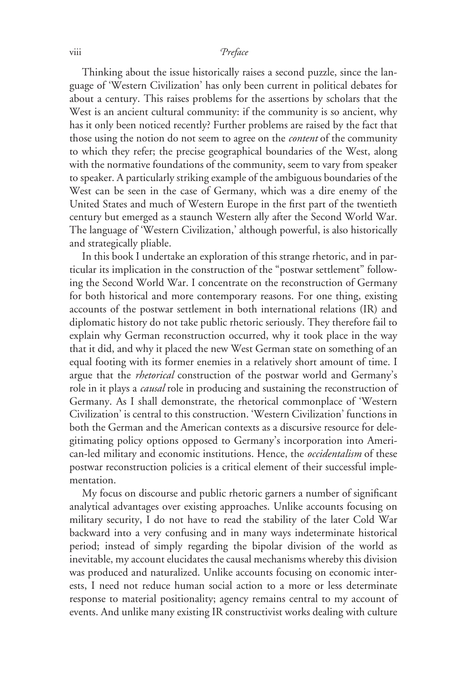## viii *Preface*

Thinking about the issue historically raises a second puzzle, since the language of 'Western Civilization' has only been current in political debates for about a century. This raises problems for the assertions by scholars that the West is an ancient cultural community: if the community is so ancient, why has it only been noticed recently? Further problems are raised by the fact that those using the notion do not seem to agree on the *content* of the community to which they refer; the precise geographical boundaries of the West, along with the normative foundations of the community, seem to vary from speaker to speaker. A particularly striking example of the ambiguous boundaries of the West can be seen in the case of Germany, which was a dire enemy of the United States and much of Western Europe in the first part of the twentieth century but emerged as a staunch Western ally after the Second World War. The language of 'Western Civilization,' although powerful, is also historically and strategically pliable.

In this book I undertake an exploration of this strange rhetoric, and in particular its implication in the construction of the "postwar settlement" following the Second World War. I concentrate on the reconstruction of Germany for both historical and more contemporary reasons. For one thing, existing accounts of the postwar settlement in both international relations (IR) and diplomatic history do not take public rhetoric seriously. They therefore fail to explain why German reconstruction occurred, why it took place in the way that it did, and why it placed the new West German state on something of an equal footing with its former enemies in a relatively short amount of time. I argue that the *rhetorical* construction of the postwar world and Germany's role in it plays a *causal* role in producing and sustaining the reconstruction of Germany. As I shall demonstrate, the rhetorical commonplace of 'Western Civilization' is central to this construction. 'Western Civilization' functions in both the German and the American contexts as a discursive resource for delegitimating policy options opposed to Germany's incorporation into American-led military and economic institutions. Hence, the *occidentalism* of these postwar reconstruction policies is a critical element of their successful implementation.

My focus on discourse and public rhetoric garners a number of significant analytical advantages over existing approaches. Unlike accounts focusing on military security, I do not have to read the stability of the later Cold War backward into a very confusing and in many ways indeterminate historical period; instead of simply regarding the bipolar division of the world as inevitable, my account elucidates the causal mechanisms whereby this division was produced and naturalized. Unlike accounts focusing on economic interests, I need not reduce human social action to a more or less determinate response to material positionality; agency remains central to my account of events. And unlike many existing IR constructivist works dealing with culture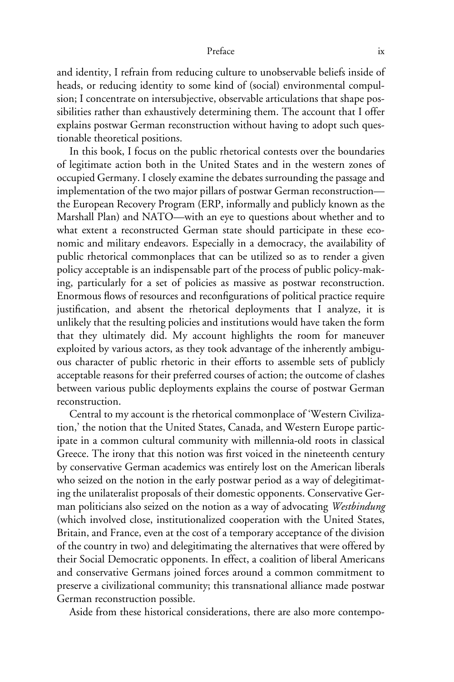## Preface ix

and identity, I refrain from reducing culture to unobservable beliefs inside of heads, or reducing identity to some kind of (social) environmental compulsion; I concentrate on intersubjective, observable articulations that shape possibilities rather than exhaustively determining them. The account that I offer explains postwar German reconstruction without having to adopt such questionable theoretical positions.

In this book, I focus on the public rhetorical contests over the boundaries of legitimate action both in the United States and in the western zones of occupied Germany. I closely examine the debates surrounding the passage and implementation of the two major pillars of postwar German reconstruction the European Recovery Program (ERP, informally and publicly known as the Marshall Plan) and NATO—with an eye to questions about whether and to what extent a reconstructed German state should participate in these economic and military endeavors. Especially in a democracy, the availability of public rhetorical commonplaces that can be utilized so as to render a given policy acceptable is an indispensable part of the process of public policy-making, particularly for a set of policies as massive as postwar reconstruction. Enormous flows of resources and reconfigurations of political practice require justification, and absent the rhetorical deployments that I analyze, it is unlikely that the resulting policies and institutions would have taken the form that they ultimately did. My account highlights the room for maneuver exploited by various actors, as they took advantage of the inherently ambiguous character of public rhetoric in their efforts to assemble sets of publicly acceptable reasons for their preferred courses of action; the outcome of clashes between various public deployments explains the course of postwar German reconstruction.

Central to my account is the rhetorical commonplace of 'Western Civilization,' the notion that the United States, Canada, and Western Europe participate in a common cultural community with millennia-old roots in classical Greece. The irony that this notion was first voiced in the nineteenth century by conservative German academics was entirely lost on the American liberals who seized on the notion in the early postwar period as a way of delegitimating the unilateralist proposals of their domestic opponents. Conservative German politicians also seized on the notion as a way of advocating *Westbindung* (which involved close, institutionalized cooperation with the United States, Britain, and France, even at the cost of a temporary acceptance of the division of the country in two) and delegitimating the alternatives that were offered by their Social Democratic opponents. In effect, a coalition of liberal Americans and conservative Germans joined forces around a common commitment to preserve a civilizational community; this transnational alliance made postwar German reconstruction possible.

Aside from these historical considerations, there are also more contempo-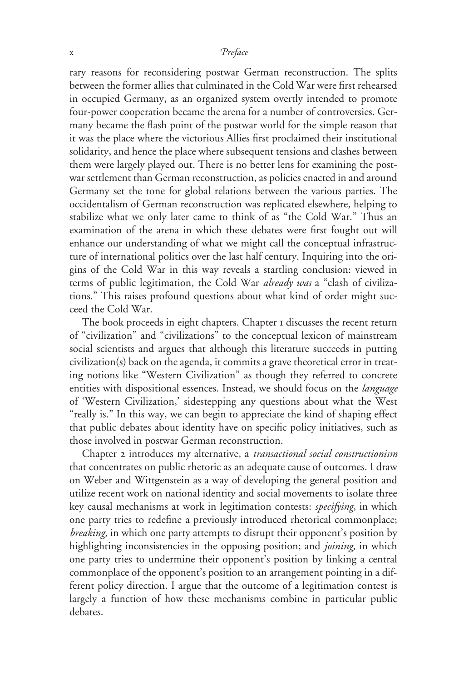## x  *reface*

rary reasons for reconsidering postwar German reconstruction. The splits between the former allies that culminated in the Cold War were first rehearsed in occupied Germany, as an organized system overtly intended to promote four-power cooperation became the arena for a number of controversies. Germany became the flash point of the postwar world for the simple reason that it was the place where the victorious Allies first proclaimed their institutional solidarity, and hence the place where subsequent tensions and clashes between them were largely played out. There is no better lens for examining the postwar settlement than German reconstruction, as policies enacted in and around Germany set the tone for global relations between the various parties. The occidentalism of German reconstruction was replicated elsewhere, helping to stabilize what we only later came to think of as "the Cold War." Thus an examination of the arena in which these debates were first fought out will enhance our understanding of what we might call the conceptual infrastructure of international politics over the last half century. Inquiring into the origins of the Cold War in this way reveals a startling conclusion: viewed in terms of public legitimation, the Cold War *already was* a "clash of civilizations." This raises profound questions about what kind of order might succeed the Cold War.

The book proceeds in eight chapters. Chapter 1 discusses the recent return of "civilization" and "civilizations" to the conceptual lexicon of mainstream social scientists and argues that although this literature succeeds in putting civilization(s) back on the agenda, it commits a grave theoretical error in treating notions like "Western Civilization" as though they referred to concrete entities with dispositional essences. Instead, we should focus on the *language* of 'Western Civilization,' sidestepping any questions about what the West "really is." In this way, we can begin to appreciate the kind of shaping effect that public debates about identity have on specific policy initiatives, such as those involved in postwar German reconstruction.

Chapter 2 introduces my alternative, a *transactional social constructionism* that concentrates on public rhetoric as an adequate cause of outcomes. I draw on Weber and Wittgenstein as a way of developing the general position and utilize recent work on national identity and social movements to isolate three key causal mechanisms at work in legitimation contests: *specifying,* in which one party tries to redefine a previously introduced rhetorical commonplace; *breaking,* in which one party attempts to disrupt their opponent's position by highlighting inconsistencies in the opposing position; and *joining,* in which one party tries to undermine their opponent's position by linking a central commonplace of the opponent's position to an arrangement pointing in a different policy direction. I argue that the outcome of a legitimation contest is largely a function of how these mechanisms combine in particular public debates.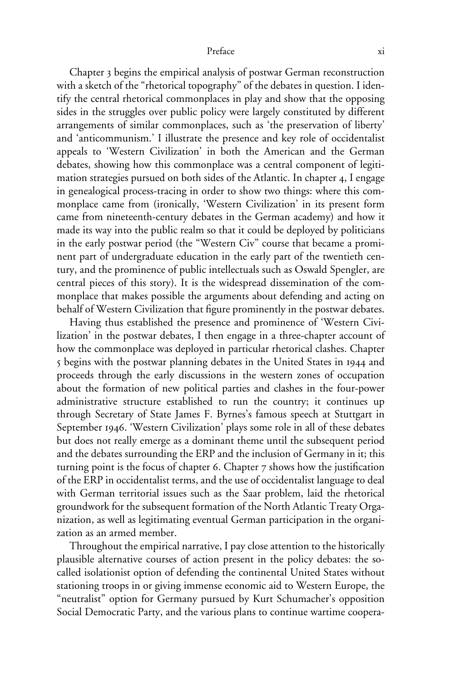Chapter 3 begins the empirical analysis of postwar German reconstruction with a sketch of the "rhetorical topography" of the debates in question. I identify the central rhetorical commonplaces in play and show that the opposing sides in the struggles over public policy were largely constituted by different arrangements of similar commonplaces, such as 'the preservation of liberty' and 'anticommunism.' I illustrate the presence and key role of occidentalist appeals to 'Western Civilization' in both the American and the German debates, showing how this commonplace was a central component of legitimation strategies pursued on both sides of the Atlantic. In chapter 4, I engage in genealogical process-tracing in order to show two things: where this commonplace came from (ironically, 'Western Civilization' in its present form came from nineteenth-century debates in the German academy) and how it made its way into the public realm so that it could be deployed by politicians in the early postwar period (the "Western Civ" course that became a prominent part of undergraduate education in the early part of the twentieth century, and the prominence of public intellectuals such as Oswald Spengler, are central pieces of this story). It is the widespread dissemination of the commonplace that makes possible the arguments about defending and acting on behalf of Western Civilization that figure prominently in the postwar debates.

Having thus established the presence and prominence of 'Western Civilization' in the postwar debates, I then engage in a three-chapter account of how the commonplace was deployed in particular rhetorical clashes. Chapter 5 begins with the postwar planning debates in the United States in 1944 and proceeds through the early discussions in the western zones of occupation about the formation of new political parties and clashes in the four-power administrative structure established to run the country; it continues up through Secretary of State James F. Byrnes's famous speech at Stuttgart in September 1946. 'Western Civilization' plays some role in all of these debates but does not really emerge as a dominant theme until the subsequent period and the debates surrounding the ERP and the inclusion of Germany in it; this turning point is the focus of chapter  $6$ . Chapter  $7$  shows how the justification of the ERP in occidentalist terms, and the use of occidentalist language to deal with German territorial issues such as the Saar problem, laid the rhetorical groundwork for the subsequent formation of the North Atlantic Treaty Organization, as well as legitimating eventual German participation in the organization as an armed member.

Throughout the empirical narrative, I pay close attention to the historically plausible alternative courses of action present in the policy debates: the socalled isolationist option of defending the continental United States without stationing troops in or giving immense economic aid to Western Europe, the "neutralist" option for Germany pursued by Kurt Schumacher's opposition Social Democratic Party, and the various plans to continue wartime coopera-